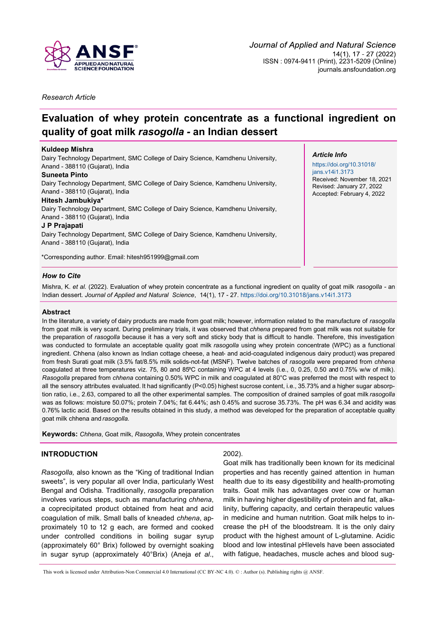

*Research Article*

# **Evaluation of whey protein concentrate as a functional ingredient on quality of goat milk** *rasogolla -* **an Indian dessert**

## **Kuldeep Mishra**

Dairy Technology Department, SMC College of Dairy Science, Kamdhenu University, Anand - 388110 (Gujarat), India

#### **Suneeta Pinto**

Dairy Technology Department, SMC College of Dairy Science, Kamdhenu University, Anand - 388110 (Gujarat), India

## **Hitesh Jambukiya\***

Dairy Technology Department, SMC College of Dairy Science, Kamdhenu University, Anand - 388110 (Gujarat), India

## **J P Prajapati**

Dairy Technology Department, SMC College of Dairy Science, Kamdhenu University, Anand - 388110 (Gujarat), India

\*Corresponding author. Email: [hitesh951999@gmail.com](mailto:hitesh951999@gmail.com)

## *Article Info*

[https://doi.org/10.31018/](https://doi.org/10.31018/jans.v14i1.3173) [jans.v14i1.3173](https://doi.org/10.31018/jans.v14i1.3173) Received: November 18, 2021 Revised: January 27, 2022 Accepted: February 4, 2022

# *How to Cite*

Mishra, K. *et al.* (2022). Evaluation of whey protein concentrate as a functional ingredient on quality of goat milk *rasogolla -* an Indian dessert. *Journal of Applied and Natural Science*, 14(1), 17 - 27. <https://doi.org/10.31018/jans.v14i1.3173>

## **Abstract**

In the literature, a variety of dairy products are made from goat milk; however, information related to the manufacture of *rasogolla*  from goat milk is very scant. During preliminary trials, it was observed that *chhena* prepared from goat milk was not suitable for the preparation of *rasogolla* because it has a very soft and sticky body that is difficult to handle. Therefore, this investigation was conducted to formulate an acceptable quality goat milk *rasogolla* using whey protein concentrate (WPC) as a functional ingredient. Chhena (also known as Indian cottage cheese, a heat- and acid-coagulated indigenous dairy product) was prepared from fresh Surati goat milk (3.5% fat/8.5% milk solids-not-fat (MSNF). Twelve batches of *rasogolla* were prepared from *chhena*  coagulated at three temperatures viz. 75, 80 and 85°C containing WPC at 4 levels (i.e., 0, 0.25, 0.50 and 0.75% w/w of milk). *Rasogolla* prepared from *chhena* containing 0.50% WPC in milk and coagulated at 80°C was preferred the most with respect to all the sensory attributes evaluated. It had significantly (P<0.05) highest sucrose content, i.e., 35.73% and a higher sugar absorption ratio, i.e., 2.63, compared to all the other experimental samples. The composition of drained samples of goat milk *rasogolla*  was as follows: moisture 50.07%; protein 7.04%; fat 6.44%; ash 0.45% and sucrose 35.73%. The pH was 6.34 and acidity was 0.76% lactic acid. Based on the results obtained in this study, a method was developed for the preparation of acceptable quality goat milk chhena and *rasogolla.*

**Keywords:** *Chhena*, Goat milk, *Rasogolla*, Whey protein concentrates

# **INTRODUCTION**

*Rasogolla,* also known as the "King of traditional Indian sweets", is very popular all over India, particularly West Bengal and Odisha. Traditionally, *rasogolla* preparation involves various steps, such as manufacturing *chhena*, a coprecipitated product obtained from heat and acid coagulation of milk. Small balls of kneaded *chhena*, approximately 10 to 12 g each, are formed and cooked under controlled conditions in boiling sugar syrup (approximately 60° Brix) followed by overnight soaking in sugar syrup (approximately 40°Brix) (Aneja *et al*.,

## 2002).

Goat milk has traditionally been known for its medicinal properties and has recently gained attention in human health due to its easy digestibility and health-promoting traits. Goat milk has advantages over cow or human milk in having higher digestibility of protein and fat, alkalinity, buffering capacity, and certain therapeutic values in medicine and human nutrition. Goat milk helps to increase the pH of the bloodstream. It is the only dairy product with the highest amount of L-glutamine. Acidic blood and low intestinal pHlevels have been associated with fatigue, headaches, muscle aches and blood sug-

This work is licensed under Attribution-Non Commercial 4.0 International (CC BY-NC 4.0). © : Author (s). Publishing rights @ ANSF.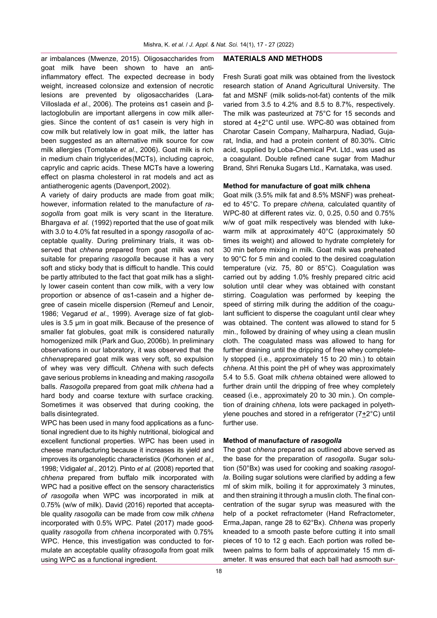ar imbalances (Mwenze, 2015). Oligosaccharides from goat milk have been shown to have an antiinflammatory effect. The expected decrease in body weight, increased colonsize and extension of necrotic lesions are prevented by oligosaccharides (Lara-Villoslada *et al*., 2006). The proteins αs1 casein and βlactoglobulin are important allergens in cow milk allergies. Since the content of αs1 casein is very high in cow milk but relatively low in goat milk, the latter has been suggested as an alternative milk source for cow milk allergies (Tomotake *et al*., 2006). Goat milk is rich in medium chain triglycerides(MCTs), including caproic, caprylic and capric acids. These MCTs have a lowering effect on plasma cholesterol in rat models and act as antiatherogenic agents (Davenport, 2002).

A variety of dairy products are made from goat milk; however, information related to the manufacture of *rasogolla* from goat milk is very scant in the literature. Bhargava *et al.* (1992) reported that the use of goat milk with 3.0 to 4.0% fat resulted in a spongy *rasogolla* of acceptable quality. During preliminary trials, it was observed that *chhena* prepared from goat milk was not suitable for preparing *rasogolla* because it has a very soft and sticky body that is difficult to handle. This could be partly attributed to the fact that goat milk has a slightly lower casein content than cow milk, with a very low proportion or absence of αs1-casein and a higher degree of casein micelle dispersion (Remeuf and Lenoir, 1986; Vegarud *et al*., 1999). Average size of fat globules is 3.5 μm in goat milk. Because of the presence of smaller fat globules, goat milk is considered naturally homogenized milk (Park and Guo, 2006b). In preliminary observations in our laboratory, it was observed that the *chhena*prepared goat milk was very soft, so expulsion of whey was very difficult. *Chhena* with such defects gave serious problems in kneading and making *rasogolla* balls. *Rasogolla* prepared from goat milk *chhena* had a hard body and coarse texture with surface cracking. Sometimes it was observed that during cooking, the balls disintegrated.

WPC has been used in many food applications as a functional ingredient due to its highly nutritional, biological and excellent functional properties. WPC has been used in cheese manufacturing because it increases its yield and improves its organoleptic characteristics (Korhonen *et al*., 1998; Vidigal*et al*., 2012). Pinto *et al.* (2008) reported that *chhena* prepared from buffalo milk incorporated with WPC had a positive effect on the sensory characteristics *of rasogolla* when WPC was incorporated in milk at 0.75% (w/w of milk). David (2016) reported that acceptable quality *rasogolla* can be made from cow milk *chhena*  incorporated with 0.5% WPC. Patel (2017) made goodquality *rasogolla* from *chhena* incorporated with 0.75% WPC. Hence, this investigation was conducted to formulate an acceptable quality of*rasogolla* from goat milk using WPC as a functional ingredient.

#### **MATERIALS AND METHODS**

Fresh Surati goat milk was obtained from the livestock research station of Anand Agricultural University. The fat and MSNF (milk solids-not-fat) contents of the milk varied from 3.5 to 4.2% and 8.5 to 8.7%, respectively. The milk was pasteurized at 75°C for 15 seconds and stored at 4+2°C until use. WPC-80 was obtained from Charotar Casein Company, Malharpura, Nadiad, Gujarat, India, and had a protein content of 80.30%. Citric acid, supplied by Loba-Chemical Pvt. Ltd., was used as a coagulant. Double refined cane sugar from Madhur Brand, Shri Renuka Sugars Ltd., Karnataka, was used.

## **Method for manufacture of goat milk chhena**

Goat milk (3.5% milk fat and 8.5% MSNF) was preheated to 45°C. To prepare *chhena,* calculated quantity of WPC-80 at different rates viz. 0, 0.25, 0.50 and 0.75% w/w of goat milk respectively was blended with lukewarm milk at approximately 40°C (approximately 50 times its weight) and allowed to hydrate completely for 30 min before mixing in milk. Goat milk was preheated to 90°C for 5 min and cooled to the desired coagulation temperature (viz. 75, 80 or 85°C). Coagulation was carried out by adding 1.0% freshly prepared citric acid solution until clear whey was obtained with constant stirring. Coagulation was performed by keeping the speed of stirring milk during the addition of the coagulant sufficient to disperse the coagulant until clear whey was obtained. The content was allowed to stand for 5 min., followed by draining of whey using a clean muslin cloth. The coagulated mass was allowed to hang for further draining until the dripping of free whey completely stopped (i.e., approximately 15 to 20 min.) to obtain *chhena*. At this point the pH of whey was approximately 5.4 to 5.5. Goat milk *chhena* obtained were allowed to further drain until the dripping of free whey completely ceased (i.e., approximately 20 to 30 min.). On completion of draining *chhena,* lots were packaged in polyethylene pouches and stored in a refrigerator (7+2°C) until further use.

#### **Method of manufacture of** *rasogolla*

The goat *chhena* prepared as outlined above served as the base for the preparation of *rasogolla*. Sugar solution (50°Bx) was used for cooking and soaking *rasogolla*. Boiling sugar solutions were clarified by adding a few ml of skim milk, boiling it for approximately 3 minutes, and then straining it through a muslin cloth. The final concentration of the sugar syrup was measured with the help of a pocket refractometer (Hand Refractometer, Erma,Japan, range 28 to 62°Bx). *Chhena* was properly kneaded to a smooth paste before cutting it into small pieces of 10 to 12 g each. Each portion was rolled between palms to form balls of approximately 15 mm diameter. It was ensured that each ball had asmooth sur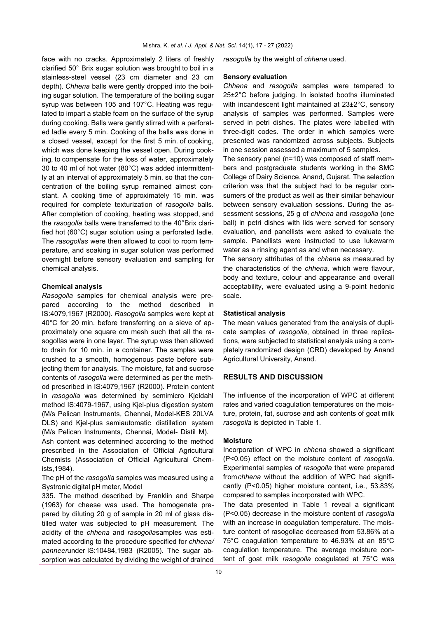face with no cracks. Approximately 2 liters of freshly clarified 50° Brix sugar solution was brought to boil in a stainless-steel vessel (23 cm diameter and 23 cm depth). *Chhena* balls were gently dropped into the boiling sugar solution. The temperature of the boiling sugar syrup was between 105 and 107°C. Heating was regulated to impart a stable foam on the surface of the syrup during cooking. Balls were gently stirred with a perforated ladle every 5 min. Cooking of the balls was done in a closed vessel, except for the first 5 min. of cooking, which was done keeping the vessel open. During cooking, to compensate for the loss of water, approximately 30 to 40 ml of hot water (80°C) was added intermittently at an interval of approximately 5 min. so that the concentration of the boiling syrup remained almost constant. A cooking time of approximately 15 min. was required for complete texturization of *rasogolla* balls. After completion of cooking, heating was stopped, and the *rasogolla* balls were transferred to the 40°Brix clarified hot (60°C) sugar solution using a perforated ladle. The *rasogollas* were then allowed to cool to room temperature, and soaking in sugar solution was performed overnight before sensory evaluation and sampling for chemical analysis.

#### **Chemical analysis**

*Rasogolla* samples for chemical analysis were prepared according to the method described IS:4079,1967 (R2000). *Rasogolla* samples were kept at 40°C for 20 min. before transferring on a sieve of approximately one square cm mesh such that all the rasogollas were in one layer. The syrup was then allowed to drain for 10 min. in a container. The samples were crushed to a smooth, homogenous paste before subjecting them for analysis. The moisture, fat and sucrose contents of *rasogolla* were determined as per the method prescribed in IS:4079,1967 (R2000). Protein content in *rasogolla* was determined by semimicro Kjeldahl method IS:4079-1967, using Kjel-plus digestion system (M/s Pelican Instruments, Chennai, Model-KES 20LVA DLS) and Kjel-plus semiautomatic distillation system (M/s Pelican Instruments, Chennai, Model- Distil M).

Ash content was determined according to the method prescribed in the Association of Official Agricultural Chemists (Association of Official Agricultural Chemists,1984).

The pH of the *rasogolla* samples was measured using a Systronic digital pH meter, Model

335. The method described by Franklin and Sharpe (1963) for cheese was used. The homogenate prepared by diluting 20 g of sample in 20 ml of glass distilled water was subjected to pH measurement. The acidity of the *chhena* and *rasogolla*samples was estimated according to the procedure specified for *chhena/ panneer*under IS:10484,1983 (R2005). The sugar absorption was calculated by dividing the weight of drained

*rasogolla* by the weight of *chhena* used.

#### **Sensory evaluation**

*Chhena* and *rasogolla* samples were tempered to 25±2°C before judging. In isolated booths illuminated with incandescent light maintained at 23±2°C, sensory analysis of samples was performed. Samples were served in petri dishes. The plates were labelled with three-digit codes. The order in which samples were presented was randomized across subjects. Subjects in one session assessed a maximum of 5 samples.

The sensory panel (n=10) was composed of staff members and postgraduate students working in the SMC College of Dairy Science, Anand, Gujarat. The selection criterion was that the subject had to be regular consumers of the product as well as their similar behaviour between sensory evaluation sessions. During the assessment sessions, 25 g of *chhena* and *rasogolla* (one ball) in petri dishes with lids were served for sensory evaluation, and panellists were asked to evaluate the sample. Panellists were instructed to use lukewarm water as a rinsing agent as and when necessary.

The sensory attributes of the *chhena* as measured by the characteristics of the *chhena,* which were flavour, body and texture, colour and appearance and overall acceptability, were evaluated using a 9-point hedonic scale.

## **Statistical analysis**

The mean values generated from the analysis of duplicate samples of *rasogolla*, obtained in three replications, were subjected to statistical analysis using a completely randomized design (CRD) developed by Anand Agricultural University, Anand.

## **RESULTS AND DISCUSSION**

The influence of the incorporation of WPC at different rates and varied coagulation temperatures on the moisture, protein, fat, sucrose and ash contents of goat milk *rasogolla* is depicted in Table 1.

## **Moisture**

Incorporation of WPC in *chhena* showed a significant (P<0.05) effect on the moisture content of *rasogolla*. Experimental samples of *rasogolla* that were prepared from*chhena* without the addition of WPC had significantly (P<0.05) higher moisture content, i.e., 53.83% compared to samples incorporated with WPC.

The data presented in Table 1 reveal a significant (P<0.05) decrease in the moisture content of *rasogolla*  with an increase in coagulation temperature. The moisture content of rasogollae decreased from 53.86% at a 75°C coagulation temperature to 46.93% at an 85°C coagulation temperature. The average moisture content of goat milk *rasogolla* coagulated at 75°C was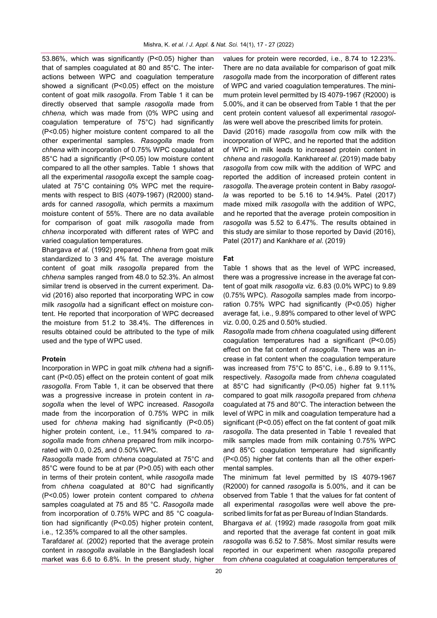53.86%, which was significantly (P<0.05) higher than that of samples coagulated at 80 and 85°C. The interactions between WPC and coagulation temperature showed a significant (P<0.05) effect on the moisture content of goat milk *rasogolla*. From Table 1 it can be directly observed that sample *rasogolla* made from *chhena,* which was made from (0% WPC using and coagulation temperature of 75°C) had significantly (P<0.05) higher moisture content compared to all the other experimental samples. *Rasogolla* made from *chhena* with incorporation of 0.75% WPC coagulated at 85°C had a significantly (P<0.05) low moisture content compared to all the other samples. Table 1 shows that all the experimental *rasogolla* except the sample coagulated at 75°C containing 0% WPC met the requirements with respect to BIS (4079-1967) (R2000) standards for canned *rasogolla,* which permits a maximum moisture content of 55%. There are no data available for comparison of goat milk *rasogolla* made from *chhena* incorporated with different rates of WPC and varied coagulation temperatures.

Bhargava *et al.* (1992) prepared *chhena* from goat milk standardized to 3 and 4% fat. The average moisture content of goat milk *rasogolla* prepared from the *chhena* samples ranged from 48.0 to 52.3%. An almost similar trend is observed in the current experiment. David (2016) also reported that incorporating WPC in cow milk *rasogolla* had a significant effect on moisture content. He reported that incorporation of WPC decreased the moisture from 51.2 to 38.4%. The differences in results obtained could be attributed to the type of milk used and the type of WPC used.

## **Protein**

Incorporation in WPC in goat milk *chhena* had a significant (P<0.05) effect on the protein content of goat milk *rasogolla*. From Table 1, it can be observed that there was a progressive increase in protein content in *rasogolla* when the level of WPC increased. *Rasogolla*  made from the incorporation of 0.75% WPC in milk used for *chhena* making had significantly (P<0.05) higher protein content, i.e., 11.94% compared to *rasogolla* made from *chhena* prepared from milk incorporated with 0.0, 0.25, and 0.50%WPC.

*Rasogolla* made from *chhena* coagulated at 75°C and 85°C were found to be at par (P>0.05) with each other in terms of their protein content, while *rasogolla* made from *chhena* coagulated at 80°C had significantly (P<0.05) lower protein content compared to *chhena*  samples coagulated at 75 and 85 °C. *Rasogolla* made from incorporation of 0.75% WPC and 85 °C coagulation had significantly (P<0.05) higher protein content, i.e., 12.35% compared to all the other samples.

Tarafdar*et al.* (2002) reported that the average protein content in *rasogolla* available in the Bangladesh local market was 6.6 to 6.8%. In the present study, higher values for protein were recorded, i.e., 8.74 to 12.23%. There are no data available for comparison of goat milk *rasogolla* made from the incorporation of different rates of WPC and varied coagulation temperatures. The minimum protein level permitted by IS 4079-1967 (R2000) is 5.00%, and it can be observed from Table 1 that the per cent protein content valuesof all experimental *rasogolla*s were well above the prescribed limits for protein.

David (2016) made *rasogolla* from cow milk with the incorporation of WPC, and he reported that the addition of WPC in milk leads to increased protein content in *chhena* and *rasogolla*. Kankhare*et al.* (2019) made baby *rasogolla* from cow milk with the addition of WPC and reported the addition of increased protein content in *rasogolla*. Theaverage protein content in Baby *rasogolla* was reported to be 5.16 to 14.94%. Patel (2017) made mixed milk *rasogolla* with the addition of WPC, and he reported that the average protein composition in *rasogolla* was 5.52 to 6.47%. The results obtained in this study are similar to those reported by David (2016), Patel (2017) and Kankhare *et al.* (2019)

## **Fat**

Table 1 shows that as the level of WPC increased, there was a progressive increase in the average fat content of goat milk *rasogolla* viz. 6.83 (0.0% WPC) to 9.89 (0.75% WPC). *Rasogolla* samples made from incorporation 0.75% WPC had significantly (P<0.05) higher average fat, i.e., 9.89% compared to other level of WPC viz. 0.00, 0.25 and 0.50% studied.

*Rasogolla* made from *chhena* coagulated using different coagulation temperatures had a significant (P<0.05) effect on the fat content of *rasogolla*. There was an increase in fat content when the coagulation temperature was increased from 75°C to 85°C, i.e., 6.89 to 9.11%, respectively. *Rasogolla* made from *chhena* coagulated at 85°C had significantly (P<0.05) higher fat 9.11% compared to goat milk *rasogolla* prepared from *chhena*  coagulated at 75 and 80°C. The interaction between the level of WPC in milk and coagulation temperature had a significant (P<0.05) effect on the fat content of goat milk *rasogolla*. The data presented in Table 1 revealed that milk samples made from milk containing 0.75% WPC and 85°C coagulation temperature had significantly (P<0.05) higher fat contents than all the other experimental samples.

The minimum fat level permitted by IS 4079-1967 (R2000) for canned *rasogolla* is 5.00%, and it can be observed from Table 1 that the values for fat content of all experimental *rasogolla*s were well above the prescribed limits for fat as per Bureau of Indian Standards.

Bhargava *et al.* (1992) made *rasogolla* from goat milk and reported that the average fat content in goat milk *rasogolla* was 6.52 to 7.58%. Most similar results were reported in our experiment when *rasogolla* prepared from *chhena* coagulated at coagulation temperatures of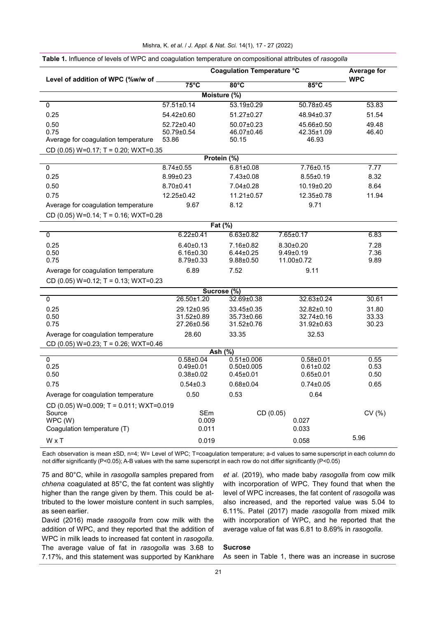| Level of addition of WPC (%w/w of                 |                                  | <b>Coagulation Temperature °C</b>   |                                    |                |
|---------------------------------------------------|----------------------------------|-------------------------------------|------------------------------------|----------------|
|                                                   | $75^{\circ}$ C                   | $80^{\circ}$ C                      | $85^{\circ}$ C                     | <b>WPC</b>     |
|                                                   |                                  | Moisture (%)                        |                                    |                |
| 0                                                 | $57.51 \pm 0.14$                 | 53.19±0.29                          | 50.78±0.45                         | 53.83          |
| 0.25                                              | 54.42±0.60                       | 51.27±0.27                          | 48.94±0.37                         | 51.54          |
| 0.50                                              | 52.72±0.40                       | 50.07±0.23                          | 45.66±0.50                         | 49.48          |
| 0.75                                              | 50.79±0.54                       | 46.07±0.46                          | 42.35±1.09                         | 46.40          |
| Average for coagulation temperature               | 53.86                            | 50.15                               | 46.93                              |                |
| CD (0.05) $W=0.17$ ; T = 0.20; $WXT=0.35$         |                                  |                                     |                                    |                |
|                                                   |                                  | Protein $(\%)$                      |                                    |                |
| $\overline{0}$                                    | $8.74 \pm 0.55$                  | $6.81 \pm 0.08$                     | $7.76 \pm 0.15$                    | 7.77           |
| 0.25                                              | 8.99±0.23                        | 7.43±0.08                           | $8.55 \pm 0.19$                    | 8.32           |
| 0.50                                              | $8.70 \pm 0.41$                  | 7.04±0.28                           | 10.19±0.20                         | 8.64           |
| 0.75                                              | 12.25±0.42                       | $11.21 \pm 0.57$                    | 12.35±0.78                         | 11.94          |
| Average for coagulation temperature               | 9.67                             | 8.12                                | 9.71                               |                |
| CD (0.05) $W=0.14$ ; T = 0.16; WXT=0.28           |                                  |                                     |                                    |                |
|                                                   |                                  | Fat (%)                             |                                    |                |
| 0                                                 | $6.22 \pm 0.41$                  | $6.63 \pm 0.82$                     | 7.65±0.17                          | 6.83           |
| 0.25                                              | $6.40 \pm 0.13$                  | 7.16±0.82                           | $8.30 \pm 0.20$                    | 7.28           |
| 0.50<br>0.75                                      | $6.16 \pm 0.30$                  | $6.44 \pm 0.25$<br>$9.88 \pm 0.50$  | $9.49 \pm 0.19$                    | 7.36           |
|                                                   | $8.79 \pm 0.33$                  |                                     | 11.00±0.72                         | 9.89           |
| Average for coagulation temperature               | 6.89                             | 7.52                                | 9.11                               |                |
| CD (0.05) W=0.12; T = 0.13; WXT=0.23              |                                  |                                     |                                    |                |
|                                                   |                                  | Sucrose (%)                         |                                    |                |
| $\mathbf 0$                                       | 26.50±1.20                       | 32.69±0.38                          | 32.63±0.24                         | 30.61          |
| 0.25<br>0.50                                      | 29.12±0.95<br>31.52±0.89         | 33.45±0.35<br>35.73±0.66            | 32.82±0.10<br>32.74±0.16           | 31.80<br>33.33 |
| 0.75                                              | 27.26±0.56                       | 31.52±0.76                          | 31.92±0.63                         | 30.23          |
| Average for coagulation temperature               | 28.60                            | 33.35                               | 32.53                              |                |
| CD (0.05) $W=0.23$ ; T = 0.26; WXT=0.46           |                                  |                                     |                                    |                |
|                                                   |                                  | Ash $(\frac{9}{6})$                 |                                    |                |
| 0                                                 | $0.58 \pm 0.04$                  | $0.51 \pm 0.006$                    | $0.58 + 0.01$                      | 0.55           |
| 0.25<br>0.50                                      | $0.49 \pm 0.01$<br>$0.38 + 0.02$ | $0.50 \pm 0.005$<br>$0.45 \pm 0.01$ | $0.61 \pm 0.02$<br>$0.65 \pm 0.01$ | 0.53<br>0.50   |
| 0.75                                              | $0.54 \pm 0.3$                   | $0.68 \pm 0.04$                     | $0.74 \pm 0.05$                    | 0.65           |
| Average for coagulation temperature               | 0.50                             | 0.53                                | 0.64                               |                |
|                                                   |                                  |                                     |                                    |                |
| CD (0.05) W=0.009; T = 0.011; WXT=0.019<br>Source | SEm                              | CD (0.05)                           |                                    | CV (%)         |
| WPC (W)                                           | 0.009                            |                                     | 0.027                              |                |
| Coagulation temperature (T)                       | 0.011                            |                                     | 0.033                              |                |
|                                                   |                                  |                                     |                                    |                |

Each observation is mean ±SD, n=4; W= Level of WPC; T=coagulation temperature; a-d values to same superscript in each column do not differ significantly (P<0.05); A-B values with the same superscript in each row do not differ significantly (P<0.05)

75 and 80°C, while in *rasogolla* samples prepared from *chhena* coagulated at 85°C, the fat content was slightly higher than the range given by them. This could be attributed to the lower moisture content in such samples, as seen earlier.

David (2016) made *rasogolla* from cow milk with the addition of WPC, and they reported that the addition of WPC in milk leads to increased fat content in *rasogolla*. The average value of fat in *rasogolla* was 3.68 to 7.17%, and this statement was supported by Kankhare

*et al.* (2019), who made baby *rasogolla* from cow milk with incorporation of WPC. They found that when the level of WPC increases, the fat content of *rasogolla* was also increased, and the reported value was 5.04 to 6.11%. Patel (2017) made *rasogolla* from mixed milk with incorporation of WPC, and he reported that the average value of fat was 6.81 to 8.69% in *rasogolla*.

## **Sucrose**

As seen in Table 1, there was an increase in sucrose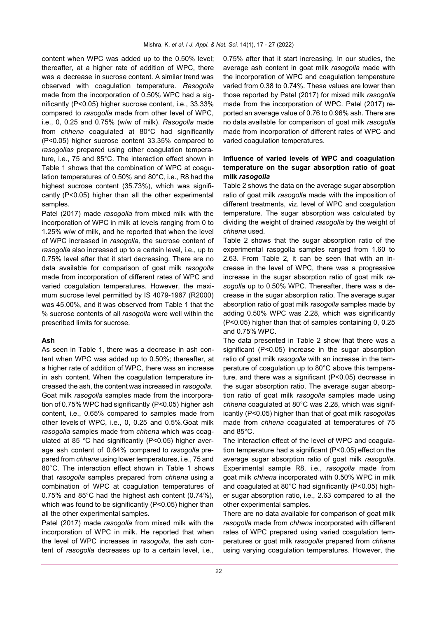content when WPC was added up to the 0.50% level; thereafter, at a higher rate of addition of WPC, there was a decrease in sucrose content. A similar trend was observed with coagulation temperature. *Rasogolla*  made from the incorporation of 0.50% WPC had a significantly (P<0.05) higher sucrose content, i.e., 33.33% compared to *rasogolla* made from other level of WPC, i.e., 0, 0.25 and 0.75% (w/w of milk). *Rasogolla* made from *chhena* coagulated at 80°C had significantly (P<0.05) higher sucrose content 33.35% compared to *rasogollas* prepared using other coagulation temperature, i.e., 75 and 85°C. The interaction effect shown in Table 1 shows that the combination of WPC at coagulation temperatures of 0.50% and 80°C, i.e., R8 had the highest sucrose content (35.73%), which was significantly (P<0.05) higher than all the other experimental samples.

Patel (2017) made *rasogolla* from mixed milk with the incorporation of WPC in milk at levels ranging from 0 to 1.25% w/w of milk, and he reported that when the level of WPC increased in *rasogolla,* the sucrose content of *rasogolla* also increased up to a certain level, i.e., up to 0.75% level after that it start decreasing. There are no data available for comparison of goat milk *rasogolla* made from incorporation of different rates of WPC and varied coagulation temperatures. However, the maximum sucrose level permitted by IS 4079-1967 (R2000) was 45.00%, and it was observed from Table 1 that the % sucrose contents of all *rasogolla* were well within the prescribed limits for sucrose.

## **Ash**

As seen in Table 1, there was a decrease in ash content when WPC was added up to 0.50%; thereafter, at a higher rate of addition of WPC, there was an increase in ash content. When the coagulation temperature increased the ash, the content was increased in *rasogolla*. Goat milk *rasogolla* samples made from the incorporation of 0.75% WPC had significantly (P<0.05) higher ash content, i.e., 0.65% compared to samples made from other levels of WPC, i.e., 0, 0.25 and 0.5%.Goat milk *rasogolla* samples made from *chhena* which was coagulated at 85 °C had significantly (P<0.05) higher average ash content of 0.64% compared to *rasogolla* prepared from *chhena* using lower temperatures, i.e., 75 and 80°C. The interaction effect shown in Table 1 shows that *rasogolla* samples prepared from *chhena* using a combination of WPC at coagulation temperatures of 0.75% and 85°C had the highest ash content (0.74%), which was found to be significantly (P<0.05) higher than all the other experimental samples.

Patel (2017) made *rasogolla* from mixed milk with the incorporation of WPC in milk. He reported that when the level of WPC increases in *rasogolla*, the ash content of *rasogolla* decreases up to a certain level, i.e.,

0.75% after that it start increasing. In our studies, the average ash content in goat milk *rasogolla* made with the incorporation of WPC and coagulation temperature varied from 0.38 to 0.74%. These values are lower than those reported by Patel (2017) for mixed milk *rasogolla*  made from the incorporation of WPC. Patel (2017) reported an average value of 0.76 to 0.96% ash. There are no data available for comparison of goat milk *rasogolla*  made from incorporation of different rates of WPC and varied coagulation temperatures.

# **Influence of varied levels of WPC and coagulation temperature on the sugar absorption ratio of goat milk** *rasogolla*

Table 2 shows the data on the average sugar absorption ratio of goat milk *rasogolla* made with the imposition of different treatments, viz. level of WPC and coagulation temperature. The sugar absorption was calculated by dividing the weight of drained *rasogolla* by the weight of *chhena* used.

Table 2 shows that the sugar absorption ratio of the experimental rasogolla samples ranged from 1.60 to 2.63. From Table 2, it can be seen that with an increase in the level of WPC, there was a progressive increase in the sugar absorption ratio of goat milk *rasogolla* up to 0.50% WPC. Thereafter, there was a decrease in the sugar absorption ratio. The average sugar absorption ratio of goat milk *rasogolla* samples made by adding 0.50% WPC was 2.28, which was significantly (P<0.05) higher than that of samples containing 0, 0.25 and 0.75% WPC.

The data presented in Table 2 show that there was a significant (P<0.05) increase in the sugar absorption ratio of goat milk *rasogolla* with an increase in the temperature of coagulation up to 80°C above this temperature, and there was a significant (P<0.05) decrease in the sugar absorption ratio. The average sugar absorption ratio of goat milk *rasogolla* samples made using *chhena* coagulated at 80°C was 2.28, which was significantly (P<0.05) higher than that of goat milk *rasogolla*s made from *chhena* coagulated at temperatures of 75 and 85°C.

The interaction effect of the level of WPC and coagulation temperature had a significant (P<0.05) effect on the average sugar absorption ratio of goat milk *rasogolla*. Experimental sample R8, i.e., *rasogolla* made from goat milk *chhena* incorporated with 0.50% WPC in milk and coagulated at 80°C had significantly (P<0.05) higher sugar absorption ratio, i.e., 2.63 compared to all the other experimental samples.

There are no data available for comparison of goat milk *rasogolla* made from *chhena* incorporated with different rates of WPC prepared using varied coagulation temperatures or goat milk *rasogolla* prepared from *chhena*  using varying coagulation temperatures. However, the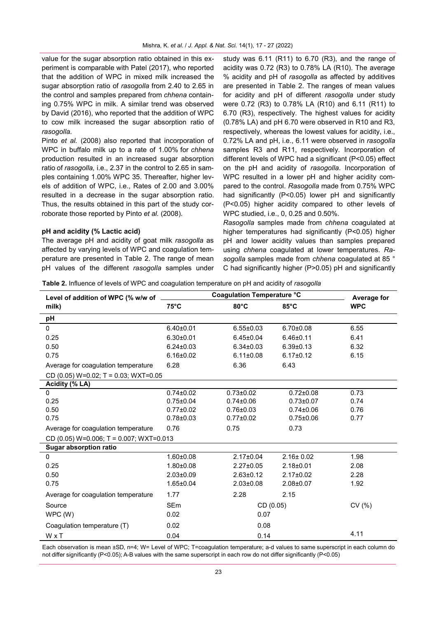value for the sugar absorption ratio obtained in this experiment is comparable with Patel (2017), who reported that the addition of WPC in mixed milk increased the sugar absorption ratio of *rasogolla* from 2.40 to 2.65 in the control and samples prepared from *chhena* containing 0.75% WPC in milk. A similar trend was observed by David (2016), who reported that the addition of WPC to cow milk increased the sugar absorption ratio of *rasogolla*.

Pinto *et al.* (2008) also reported that incorporation of WPC in buffalo milk up to a rate of 1.00% for *chhena* production resulted in an increased sugar absorption ratio of *rasogolla,* i.e., 2.37 in the control to 2.65 in samples containing 1.00% WPC 35. Thereafter, higher levels of addition of WPC, i.e., Rates of 2.00 and 3.00% resulted in a decrease in the sugar absorption ratio. Thus, the results obtained in this part of the study corroborate those reported by Pinto *et al.* (2008).

# **pH and acidity (% Lactic acid)**

The average pH and acidity of goat milk *rasogolla* as affected by varying levels of WPC and coagulation temperature are presented in Table 2. The range of mean pH values of the different *rasogolla* samples under study was 6.11 (R11) to 6.70 (R3), and the range of acidity was 0.72 (R3) to 0.78% LA (R10). The average % acidity and pH of *rasogolla* as affected by additives are presented in Table 2. The ranges of mean values for acidity and pH of different *rasogolla* under study were 0.72 (R3) to 0.78% LA (R10) and 6.11 (R11) to 6.70 (R3), respectively. The highest values for acidity (0.78% LA) and pH 6.70 were observed in R10 and R3, respectively, whereas the lowest values for acidity, i.e., 0.72% LA and pH, i.e., 6.11 were observed in *rasogolla*  samples R3 and R11, respectively. Incorporation of different levels of WPC had a significant (P<0.05) effect on the pH and acidity of *rasogolla*. Incorporation of WPC resulted in a lower pH and higher acidity compared to the control. *Rasogolla* made from 0.75% WPC had significantly (P<0.05) lower pH and significantly (P<0.05) higher acidity compared to other levels of WPC studied, i.e., 0, 0.25 and 0.50%.

*Rasogolla* samples made from *chhena* coagulated at higher temperatures had significantly (P<0.05) higher pH and lower acidity values than samples prepared using *chhena* coagulated at lower temperatures. *Rasogolla* samples made from *chhena* coagulated at 85 ° C had significantly higher (P>0.05) pH and significantly

**Table 2.** Influence of levels of WPC and coagulation temperature on pH and acidity of *rasogolla*

| Level of addition of WPC (% w/w of      | <b>Coagulation Temperature °C</b> | <b>Average for</b> |                 |            |  |  |
|-----------------------------------------|-----------------------------------|--------------------|-----------------|------------|--|--|
| milk)                                   | $75^{\circ}$ C                    | $80^{\circ}$ C     | $85^{\circ}$ C  | <b>WPC</b> |  |  |
| рH                                      |                                   |                    |                 |            |  |  |
| 0                                       | $6.40 \pm 0.01$                   | $6.55 \pm 0.03$    | $6.70 \pm 0.08$ | 6.55       |  |  |
| 0.25                                    | $6.30 + 0.01$                     | $6.45 \pm 0.04$    | $6.46 \pm 0.11$ | 6.41       |  |  |
| 0.50                                    | $6.24 \pm 0.03$                   | $6.34 \pm 0.03$    | $6.39 \pm 0.13$ | 6.32       |  |  |
| 0.75                                    | $6.16 \pm 0.02$                   | $6.11 \pm 0.08$    | $6.17 \pm 0.12$ | 6.15       |  |  |
| Average for coagulation temperature     | 6.28                              | 6.36               | 6.43            |            |  |  |
| CD (0.05) $W=0.02$ ; T = 0.03; WXT=0.05 |                                   |                    |                 |            |  |  |
| Acidity (% LA)                          |                                   |                    |                 |            |  |  |
| $\mathbf{0}$                            | $0.74 \pm 0.02$                   | $0.73 \pm 0.02$    | $0.72 \pm 0.08$ | 0.73       |  |  |
| 0.25                                    | $0.75 \pm 0.04$                   | $0.74 \pm 0.06$    | $0.73 \pm 0.07$ | 0.74       |  |  |
| 0.50                                    | $0.77 \pm 0.02$                   | $0.76 \pm 0.03$    | $0.74 \pm 0.06$ | 0.76       |  |  |
| 0.75                                    | $0.78 + 0.03$                     | $0.77 \pm 0.02$    | $0.75 \pm 0.06$ | 0.77       |  |  |
| Average for coagulation temperature     | 0.76                              | 0.75               | 0.73            |            |  |  |
| CD (0.05) W=0.006; T = 0.007; WXT=0.013 |                                   |                    |                 |            |  |  |
| <b>Sugar absorption ratio</b>           |                                   |                    |                 |            |  |  |
| $\overline{0}$                          | $1.60 \pm 0.08$                   | $2.17 \pm 0.04$    | $2.16 \pm 0.02$ | 1.98       |  |  |
| 0.25                                    | $1.80 + 0.08$                     | $2.27 \pm 0.05$    | $2.18 + 0.01$   | 2.08       |  |  |
| 0.50                                    | $2.03 \pm 0.09$                   | $2.63 \pm 0.12$    | $2.17 \pm 0.02$ | 2.28       |  |  |
| 0.75                                    | $1.65 \pm 0.04$                   | $2.03 \pm 0.08$    | $2.08 \pm 0.07$ | 1.92       |  |  |
| Average for coagulation temperature     | 1.77                              | 2.28               | 2.15            |            |  |  |
| Source                                  | <b>SEm</b>                        | CD(0.05)           |                 | CV(% )     |  |  |
| WPC(W)                                  | 0.02                              | 0.07               |                 |            |  |  |
| Coagulation temperature (T)             | 0.02                              | 0.08               |                 |            |  |  |
| WxT                                     | 0.04                              | 0.14               |                 | 4.11       |  |  |

Each observation is mean ±SD, n=4; W= Level of WPC; T=coagulation temperature; a-d values to same superscript in each column do not differ significantly (P<0.05); A-B values with the same superscript in each row do not differ significantly (P<0.05)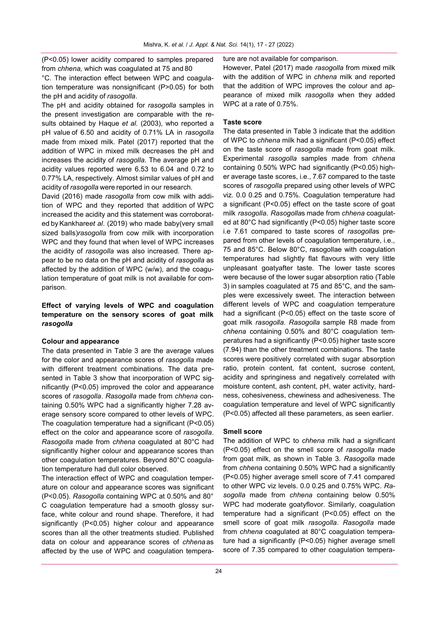(P<0.05) lower acidity compared to samples prepared from *chhena,* which was coagulated at 75 and 80

°C. The interaction effect between WPC and coagulation temperature was nonsignificant (P>0.05) for both the pH and acidity of *rasogolla*.

The pH and acidity obtained for *rasogolla* samples in the present investigation are comparable with the results obtained by Haque *et al.* (2003), who reported a pH value of 6.50 and acidity of 0.71% LA in *rasogolla*  made from mixed milk. Patel (2017) reported that the addition of WPC in mixed milk decreases the pH and increases the acidity of *rasogolla*. The average pH and acidity values reported were 6.53 to 6.04 and 0.72 to 0.77% LA, respectively. Almost similar values of pH and acidity of *rasogolla* were reported in our research.

David (2016) made *rasogolla* from cow milk with addition of WPC and they reported that addition of WPC increased the acidity and this statement was corroborated by Kankhare*et al*. (2019) who made baby(very small sized balls)*rasogolla* from cow milk with incorporation WPC and they found that when level of WPC increases the acidity of *rasogolla* was also increased. There appear to be no data on the pH and acidity of *rasogolla* as affected by the addition of WPC (w/w), and the coagulation temperature of goat milk is not available for comparison.

# **Effect of varying levels of WPC and coagulation temperature on the sensory scores of goat milk** *rasogolla*

## **Colour and appearance**

The data presented in Table 3 are the average values for the color and appearance scores of *rasogolla* made with different treatment combinations. The data presented in Table 3 show that incorporation of WPC significantly (P<0.05) improved the color and appearance scores of *rasogolla*. *Rasogolla* made from *chhena* containing 0.50% WPC had a significantly higher 7.28 average sensory score compared to other levels of WPC. The coagulation temperature had a significant (P<0.05) effect on the color and appearance score of *rasogolla*. *Rasogolla* made from *chhena* coagulated at 80°C had significantly higher colour and appearance scores than other coagulation temperatures. Beyond 80°C coagulation temperature had dull color observed.

The interaction effect of WPC and coagulation temperature on colour and appearance scores was significant (P<0.05). *Rasogolla* containing WPC at 0.50% and 80° C coagulation temperature had a smooth glossy surface, white colour and round shape. Therefore, it had significantly (P<0.05) higher colour and appearance scores than all the other treatments studied. Published data on colour and appearance scores of *chhena* as affected by the use of WPC and coagulation temperature are not available for comparison.

However, Patel (2017) made *rasogolla* from mixed milk with the addition of WPC in *chhena* milk and reported that the addition of WPC improves the colour and appearance of mixed milk *rasogolla* when they added WPC at a rate of 0.75%.

## **Taste score**

The data presented in Table 3 indicate that the addition of WPC to *chhena* milk had a significant (P<0.05) effect on the taste score of *rasogolla* made from goat milk. Experimental *rasogolla* samples made from *chhena*  containing 0.50% WPC had significantly (P<0.05) higher average taste scores, i.e., 7.67 compared to the taste scores of *rasogolla* prepared using other levels of WPC viz. 0.0 0.25 and 0.75%. Coagulation temperature had a significant (P<0.05) effect on the taste score of goat milk *rasogolla*. *Rasogolla*s made from *chhena* coagulated at 80°C had significantly (P<0.05) higher taste score i.e 7.61 compared to taste scores of *rasogolla*s prepared from other levels of coagulation temperature, i.e., 75 and 85°C. Below 80°C, rasogollae with coagulation temperatures had slightly flat flavours with very little unpleasant goatyafter taste. The lower taste scores were because of the lower sugar absorption ratio (Table 3) in samples coagulated at 75 and 85°C, and the samples were excessively sweet. The interaction between different levels of WPC and coagulation temperature had a significant (P<0.05) effect on the taste score of goat milk *rasogolla*. *Rasogolla* sample R8 made from *chhena* containing 0.50% and 80°C coagulation temperatures had a significantly (P<0.05) higher taste score (7.94) than the other treatment combinations. The taste scores were positively correlated with sugar absorption ratio, protein content, fat content, sucrose content, acidity and springiness and negatively correlated with moisture content, ash content, pH, water activity, hardness, cohesiveness, chewiness and adhesiveness. The coagulation temperature and level of WPC significantly (P<0.05) affected all these parameters, as seen earlier.

## **Smell score**

The addition of WPC to *chhena* milk had a significant (P<0.05) effect on the smell score of *rasogolla* made from goat milk, as shown in Table 3. *Rasogolla* made from *chhena* containing 0.50% WPC had a significantly (P<0.05) higher average smell score of 7.41 compared to other WPC viz levels. 0.0 0.25 and 0.75% WPC. *Rasogolla* made from *chhena* containing below 0.50% WPC had moderate goatyflovor. Similarly, coagulation temperature had a significant (P<0.05) effect on the smell score of goat milk *rasogolla*. *Rasogolla* made from *chhena* coagulated at 80°C coagulation temperature had a significantly (P<0.05) higher average smell score of 7.35 compared to other coagulation tempera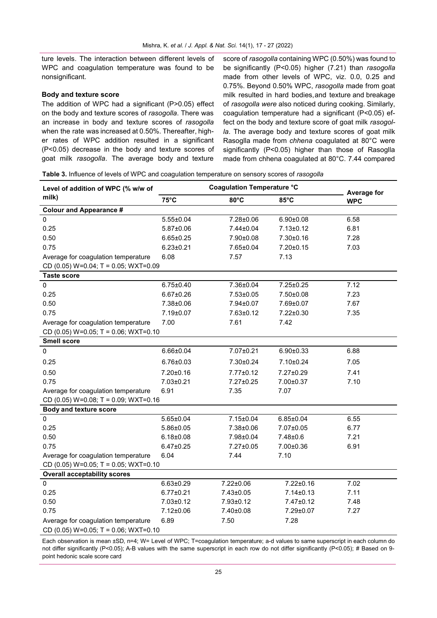ture levels. The interaction between different levels of WPC and coagulation temperature was found to be nonsignificant.

## **Body and texture score**

The addition of WPC had a significant (P>0.05) effect on the body and texture scores of *rasogolla*. There was an increase in body and texture scores of *rasogolla*  when the rate was increased at 0.50%. Thereafter, higher rates of WPC addition resulted in a significant (P<0.05) decrease in the body and texture scores of goat milk *rasogolla*. The average body and texture

score of *rasogolla* containing WPC (0.50%) was found to be significantly (P<0.05) higher (7.21) than *rasogolla*  made from other levels of WPC, viz. 0.0, 0.25 and 0.75%. Beyond 0.50% WPC, *rasogolla* made from goat milk resulted in hard bodies,and texture and breakage of *rasogolla were* also noticed during cooking. Similarly, coagulation temperature had a significant (P<0.05) effect on the body and texture score of goat milk *rasogolla*. The average body and texture scores of goat milk Rasoglla made from *chhena* coagulated at 80°C were significantly (P<0.05) higher than those of Rasoglla made from chhena coagulated at 80°C. 7.44 compared

**Table 3.** Influence of levels of WPC and coagulation temperature on sensory scores of *rasogolla*

| Level of addition of WPC (% w/w of<br>milk)                                    | <b>Coagulation Temperature °C</b> |                 |                 | Average for |  |  |
|--------------------------------------------------------------------------------|-----------------------------------|-----------------|-----------------|-------------|--|--|
|                                                                                | $75^{\circ}$ C                    | $80^{\circ}$ C  | 85°C            | <b>WPC</b>  |  |  |
| <b>Colour and Appearance #</b>                                                 |                                   |                 |                 |             |  |  |
| $\pmb{0}$                                                                      | $5.55 \pm 0.04$                   | 7.28±0.06       | $6.90 \pm 0.08$ | 6.58        |  |  |
| 0.25                                                                           | $5.87 \pm 0.06$                   | 7.44±0.04       | $7.13 \pm 0.12$ | 6.81        |  |  |
| 0.50                                                                           | $6.65 \pm 0.25$                   | 7.90±0.08       | $7.30 \pm 0.16$ | 7.28        |  |  |
| 0.75                                                                           | $6.23 \pm 0.21$                   | 7.65±0.04       | $7.20 \pm 0.15$ | 7.03        |  |  |
| Average for coagulation temperature                                            | 6.08                              | 7.57            | 7.13            |             |  |  |
| CD (0.05) $W=0.04$ ; T = 0.05; WXT=0.09                                        |                                   |                 |                 |             |  |  |
| <b>Taste score</b>                                                             |                                   |                 |                 |             |  |  |
| $\pmb{0}$                                                                      | $6.75 \pm 0.40$                   | 7.36±0.04       | 7.25±0.25       | 7.12        |  |  |
| 0.25                                                                           | $6.67 \pm 0.26$                   | $7.53 \pm 0.05$ | 7.50±0.08       | 7.23        |  |  |
| 0.50                                                                           | 7.38±0.06                         | 7.94±0.07       | 7.69±0.07       | 7.67        |  |  |
| 0.75                                                                           | 7.19±0.07                         | $7.63 \pm 0.12$ | 7.22±0.30       | 7.35        |  |  |
| Average for coagulation temperature                                            | 7.00                              | 7.61            | 7.42            |             |  |  |
| CD (0.05) $W=0.05$ ; T = 0.06; WXT=0.10                                        |                                   |                 |                 |             |  |  |
| <b>Smell score</b>                                                             |                                   |                 |                 |             |  |  |
| 0                                                                              | $6.66 \pm 0.04$                   | 7.07±0.21       | $6.90 \pm 0.33$ | 6.88        |  |  |
| 0.25                                                                           | $6.76 \pm 0.03$                   | 7.30±0.24       | 7.10±0.24       | 7.05        |  |  |
| 0.50                                                                           | 7.20±0.16                         | $7.77 \pm 0.12$ | 7.27±0.29       | 7.41        |  |  |
| 0.75                                                                           | 7.03±0.21                         | 7.27±0.25       | 7.00±0.37       | 7.10        |  |  |
| Average for coagulation temperature                                            | 6.91                              | 7.35            | 7.07            |             |  |  |
| CD (0.05) $W=0.08$ ; T = 0.09; WXT=0.16                                        |                                   |                 |                 |             |  |  |
| <b>Body and texture score</b>                                                  |                                   |                 |                 |             |  |  |
| 0                                                                              | $5.65 \pm 0.04$                   | 7.15±0.04       | $6.85 \pm 0.04$ | 6.55        |  |  |
| 0.25                                                                           | $5.86 \pm 0.05$                   | 7.38±0.06       | 7.07±0.05       | 6.77        |  |  |
| 0.50                                                                           | $6.18 \pm 0.08$                   | 7.98±0.04       | $7.48 \pm 0.6$  | 7.21        |  |  |
| 0.75                                                                           | $6.47 \pm 0.25$                   | 7.27±0.05       | 7.00±0.36       | 6.91        |  |  |
| Average for coagulation temperature                                            | 6.04                              | 7.44            | 7.10            |             |  |  |
| CD (0.05) $W=0.05$ ; T = 0.05; WXT=0.10                                        |                                   |                 |                 |             |  |  |
| <b>Overall acceptability scores</b>                                            |                                   |                 |                 |             |  |  |
| $\pmb{0}$                                                                      | $6.63 \pm 0.29$                   | 7.22±0.06       | 7.22±0.16       | 7.02        |  |  |
| 0.25                                                                           | $6.77 \pm 0.21$                   | 7.43±0.05       | $7.14 \pm 0.13$ | 7.11        |  |  |
| 0.50                                                                           | 7.03±0.12                         | 7.93±0.12       | 7.47±0.12       | 7.48        |  |  |
| 0.75                                                                           | 7.12±0.06                         | 7.40±0.08       | 7.29±0.07       | 7.27        |  |  |
| Average for coagulation temperature<br>CD (0.05) $W=0.05$ ; T = 0.06; WXT=0.10 | 6.89                              | 7.50            | 7.28            |             |  |  |

Each observation is mean ±SD, n=4; W= Level of WPC; T=coagulation temperature; a-d values to same superscript in each column do not differ significantly (P<0.05); A-B values with the same superscript in each row do not differ significantly (P<0.05); # Based on 9 point hedonic scale score card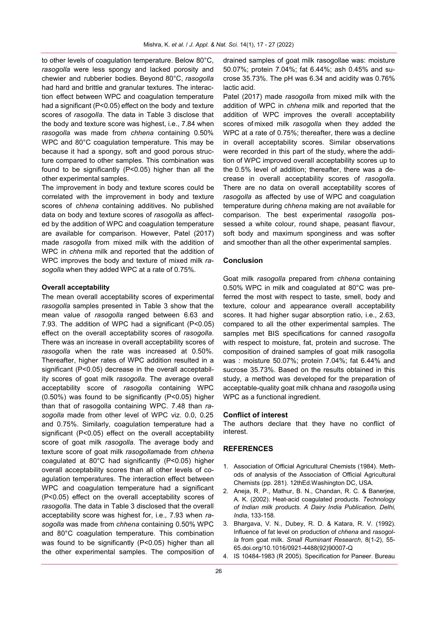to other levels of coagulation temperature. Below 80°C, *rasogolla* were less spongy and lacked porosity and chewier and rubberier bodies. Beyond 80°C, *rasogolla* had hard and brittle and granular textures. The interaction effect between WPC and coagulation temperature had a significant (P<0.05) effect on the body and texture scores of *rasogolla*. The data in Table 3 disclose that the body and texture score was highest, i.e., 7.84 when *rasogolla* was made from *chhena* containing 0.50% WPC and 80°C coagulation temperature. This may be because it had a spongy, soft and good porous structure compared to other samples. This combination was found to be significantly (P<0.05) higher than all the other experimental samples.

The improvement in body and texture scores could be correlated with the improvement in body and texture scores of *chhena* containing additives. No published data on body and texture scores of *rasogolla* as affected by the addition of WPC and coagulation temperature are available for comparison. However, Patel (2017) made *rasogolla* from mixed milk with the addition of WPC in *chhena* milk and reported that the addition of WPC improves the body and texture of mixed milk *rasogolla* when they added WPC at a rate of 0.75%.

## **Overall acceptability**

The mean overall acceptability scores of experimental *rasogolla* samples presented in Table 3 show that the mean value of *rasogolla* ranged between 6.63 and 7.93. The addition of WPC had a significant (P<0.05) effect on the overall acceptability scores of *rasogolla*. There was an increase in overall acceptability scores of *rasogolla* when the rate was increased at 0.50%. Thereafter, higher rates of WPC addition resulted in a significant (P<0.05) decrease in the overall acceptability scores of goat milk *rasogolla*. The average overall acceptability score of *rasogolla* containing WPC (0.50%) was found to be significantly (P<0.05) higher than that of rasogolla containing WPC. 7.48 than *rasogolla* made from other level of WPC viz. 0.0, 0.25 and 0.75%. Similarly, coagulation temperature had a significant (P<0.05) effect on the overall acceptability score of goat milk *rasogolla*. The average body and texture score of goat milk *rasogolla*made from *chhena*  coagulated at 80°C had significantly (P<0.05) higher overall acceptability scores than all other levels of coagulation temperatures. The interaction effect between WPC and coagulation temperature had a significant (P<0.05) effect on the overall acceptability scores of *rasogolla*. The data in Table 3 disclosed that the overall acceptability score was highest for, i.e., 7.93 when *rasogolla* was made from *chhena* containing 0.50% WPC and 80°C coagulation temperature. This combination was found to be significantly (P<0.05) higher than all the other experimental samples. The composition of

drained samples of goat milk rasogollae was: moisture 50.07%; protein 7.04%; fat 6.44%; ash 0.45% and sucrose 35.73%. The pH was 6.34 and acidity was 0.76% lactic acid.

Patel (2017) made *rasogolla* from mixed milk with the addition of WPC in *chhena* milk and reported that the addition of WPC improves the overall acceptability scores of mixed milk *rasogolla* when they added the WPC at a rate of 0.75%; thereafter, there was a decline in overall acceptability scores. Similar observations were recorded in this part of the study, where the addition of WPC improved overall acceptability scores up to the 0.5% level of addition; thereafter, there was a decrease in overall acceptability scores of *rasogolla*. There are no data on overall acceptability scores of *rasogolla* as affected by use of WPC and coagulation temperature during *chhena* making are not available for comparison. The best experimental *rasogolla* possessed a white colour, round shape, peasant flavour, soft body and maximum sponginess and was softer and smoother than all the other experimental samples.

## **Conclusion**

Goat milk *rasogolla* prepared from *chhena* containing 0.50% WPC in milk and coagulated at 80°C was preferred the most with respect to taste, smell, body and texture, colour and appearance overall acceptability scores. It had higher sugar absorption ratio, i.e., 2.63, compared to all the other experimental samples. The samples met BIS specifications for canned *rasogolla*  with respect to moisture, fat, protein and sucrose. The composition of drained samples of goat milk rasogolla was : moisture 50.07%; protein 7.04%; fat 6.44% and sucrose 35.73%. Based on the results obtained in this study, a method was developed for the preparation of acceptable-quality goat milk chhana and *rasogolla* using WPC as a functional ingredient.

#### **Conflict of interest**

The authors declare that they have no conflict of interest.

## **REFERENCES**

- 1. Association of Official Agricultural Chemists (1984). Methods of analysis of the Association of Official Agricultural Chemists (pp. 281). 12thEd.Washington DC, USA.
- 2. Aneja, R. P., Mathur, B. N., Chandan, R. C. & Banerjee, A. K. (2002). Heat-acid coagulated products. *Technology of Indian milk products. A Dairy India Publication, Delhi, India*, 133-158.
- 3. Bhargava, V. N., Dubey, R. D. & Katara, R. V. (1992). Influence of fat level on production of *chhena* and *rasogolla* from goat milk. *Small Ruminant Research*, 8(1-2), 55- 65[.doi.org/10.1016/0921](https://doi.org/10.1016/0921-4488(92)90007-Q)-4488(92)90007-Q
- 4. IS 10484-1983 (R 2005). Specification for Paneer. Bureau